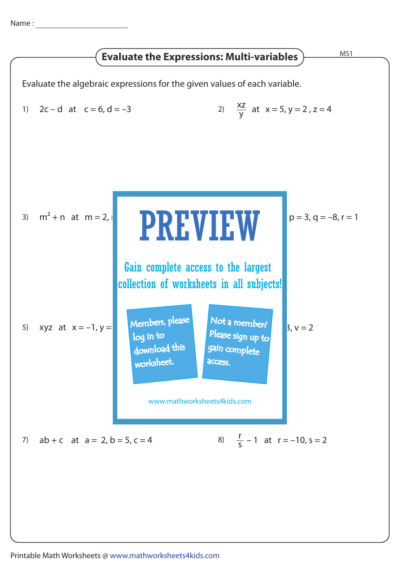